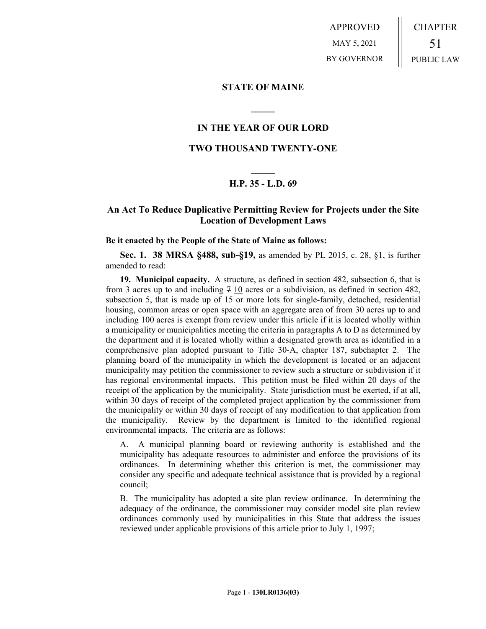APPROVED MAY 5, 2021 BY GOVERNOR CHAPTER 51 PUBLIC LAW

### **STATE OF MAINE**

### **IN THE YEAR OF OUR LORD**

**\_\_\_\_\_**

## **TWO THOUSAND TWENTY-ONE**

# **\_\_\_\_\_ H.P. 35 - L.D. 69**

# **An Act To Reduce Duplicative Permitting Review for Projects under the Site Location of Development Laws**

#### **Be it enacted by the People of the State of Maine as follows:**

**Sec. 1. 38 MRSA §488, sub-§19,** as amended by PL 2015, c. 28, §1, is further amended to read:

**19. Municipal capacity.** A structure, as defined in section 482, subsection 6, that is from 3 acres up to and including  $7 \underline{10}$  acres or a subdivision, as defined in section 482, subsection 5, that is made up of 15 or more lots for single-family, detached, residential housing, common areas or open space with an aggregate area of from 30 acres up to and including 100 acres is exempt from review under this article if it is located wholly within a municipality or municipalities meeting the criteria in paragraphs A to D as determined by the department and it is located wholly within a designated growth area as identified in a comprehensive plan adopted pursuant to Title 30‑A, chapter 187, subchapter 2. The planning board of the municipality in which the development is located or an adjacent municipality may petition the commissioner to review such a structure or subdivision if it has regional environmental impacts. This petition must be filed within 20 days of the receipt of the application by the municipality. State jurisdiction must be exerted, if at all, within 30 days of receipt of the completed project application by the commissioner from the municipality or within 30 days of receipt of any modification to that application from the municipality. Review by the department is limited to the identified regional environmental impacts. The criteria are as follows:

A. A municipal planning board or reviewing authority is established and the municipality has adequate resources to administer and enforce the provisions of its ordinances. In determining whether this criterion is met, the commissioner may consider any specific and adequate technical assistance that is provided by a regional council;

B. The municipality has adopted a site plan review ordinance. In determining the adequacy of the ordinance, the commissioner may consider model site plan review ordinances commonly used by municipalities in this State that address the issues reviewed under applicable provisions of this article prior to July 1, 1997;